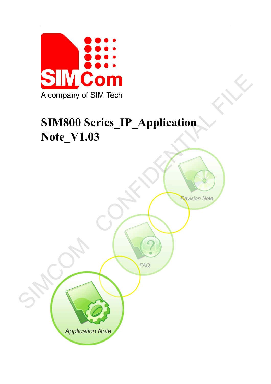

# **SIM800 Series\_IP\_Application Note\_V1.03**

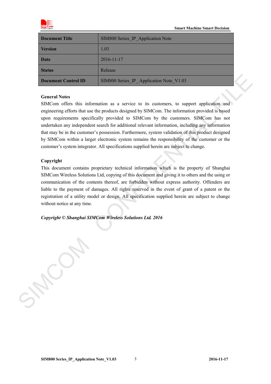

| Document Title      | SIM800 Series IP Application Note       |
|---------------------|-----------------------------------------|
| <b>Version</b>      | 1.03                                    |
| <b>Date</b>         | 2016-11-17                              |
| <b>Status</b>       | Release                                 |
| Document Control ID | SIM800 Series IP Application Note V1.03 |

#### **General Notes**

SIMCom offers this information as a service to its customers, to support application and engineering efforts that use the products designed by SIMCom. The information provided is based upon requirements specifically provided to SIMCom by the customers. SIMCom has not undertaken any independent search for additional relevant information, including any information that may be in the customer's possession. Furthermore, system validation of this product designed by SIMCom within a larger electronic system remains the responsibility of the customer or the customer's system integrator. All specifications supplied herein are subject to change. **Denument Control ID**<br>
SIMS00 Scries IP\_Application Note  $y$ 1 03<br>
General Notes<br>
SIMCom offers this information as a service to its customers, to support application and<br>
expirements that are the protocted designed by SIM

#### **Copyright**

This document contains proprietary technical information which is the property of Shanghai SIMCom Wireless Solutions Ltd, copying of this document and giving it to others and the using or communication of the contents thereof, are forbidden without express authority. Offenders are liable to the payment of damages. All rights reserved in the event of grant of a patent or the registration of a utility model or design. All specification supplied herein are subject to change without notice at any time.

*Copyright © Shanghai SIMCom Wireless Solutions Ltd. 2016*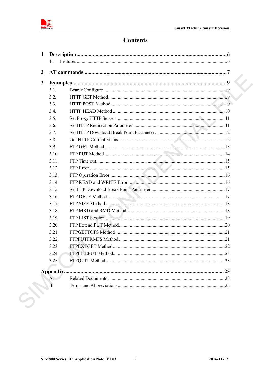

# **Contents**

| $\overline{2}$ |           |                                   |  |
|----------------|-----------|-----------------------------------|--|
| $\mathbf{3}$   |           |                                   |  |
|                | 3.1.      |                                   |  |
|                | 3.2.      |                                   |  |
|                | 3.3.      |                                   |  |
|                | 3.4.      |                                   |  |
|                | 3.5.      |                                   |  |
|                | 3.6.      |                                   |  |
|                | 3.7.      |                                   |  |
|                | 3.8.      |                                   |  |
|                | 3.9.      |                                   |  |
|                | 3.10.     |                                   |  |
|                | 3.11.     |                                   |  |
|                | 3.12.     |                                   |  |
|                | 3.13.     |                                   |  |
|                | 3.14.     |                                   |  |
|                | 3.15.     |                                   |  |
|                | 3.16.     |                                   |  |
|                | 3.17.     |                                   |  |
|                | 3.18.     |                                   |  |
|                | 3.19.     | FTP LIST Session 2008 Contract 19 |  |
|                | 3.20.     |                                   |  |
|                | 3.21.     |                                   |  |
|                | 3.22.     |                                   |  |
|                | 3.23.     |                                   |  |
|                | 3.24.     |                                   |  |
|                | 3.25.     |                                   |  |
|                | Appendix. |                                   |  |
|                | A.        |                                   |  |
|                | B.        |                                   |  |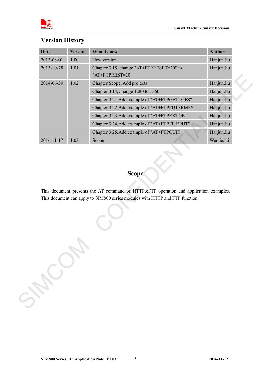

| <b>Date</b> | <b>Version</b> | What is new                                                                                                                                                           | <b>Author</b> |
|-------------|----------------|-----------------------------------------------------------------------------------------------------------------------------------------------------------------------|---------------|
| 2013-08-01  | $1.00\,$       | New version                                                                                                                                                           | Hanjun.liu    |
| 2013-10-28  | 1.01           | Chapter 3.15, change "AT+FTPRESET=20" to<br>"AT+FTPREST=20"                                                                                                           | Hanjun.liu    |
| 2014-06-30  | 1.02           | Chapter Scope, Add projects                                                                                                                                           | Hanjun.liu    |
|             |                | Chapter 3.14, Change 1280 to 1360                                                                                                                                     | Hanjun.liu    |
|             |                | Chapter 3.21, Add example of "AT+FTPGETTOFS"                                                                                                                          | Hanjun.liu    |
|             |                | Chapter 3.22, Add example of "AT+FTPPUTFRMFS"                                                                                                                         | Hanjun.liu    |
|             |                | Chapter 3.23, Add example of "AT+FTPEXTGET"                                                                                                                           | Hanjun.liu    |
|             |                | Chapter 3.24, Add example of "AT+FTPFILEPUT"                                                                                                                          | Hanjun.liu    |
|             |                | Chapter 3.25, Add example of "AT+FTPQUIT"                                                                                                                             | Hanjun.liu    |
| 2016-11-17  | 1.03           | Scope                                                                                                                                                                 | Wenjie.lai    |
|             |                | <b>Scope</b>                                                                                                                                                          |               |
| SHOW        |                | This document presents the AT command of HTTP&FTP operation and application examples.<br>This document can apply to SIM800 series modules with HTTP and FTP function. |               |

# **Version History**

### **Scope**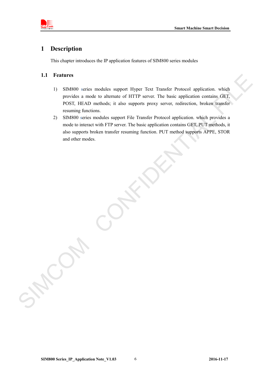

#### <span id="page-4-0"></span>**1 Description**

This chapter introduces the IP application features of SIM800 series modules

#### <span id="page-4-1"></span>**1.1 Features**

- 1) SIM800 series modules support Hyper Text Transfer Protocol application. which provides a mode to alternate of HTTP server. The basic application contains GET, POST, HEAD methods; it also supports proxy server, redirection, broken transfer resuming functions.
- 2) SIM800 series modules support File Transfer Protocol application. which provides a mode to interact with FTP server. The basic application contains GET, PUT methods, it also supports broken transfer resuming function. PUT method supports APPE, STOR and other modes. 1.1 Features<br>
11 SMS00 series model to alternate of HTTP server. The hasis application contains, GET,<br>
provides a model to alternate of HTTP server. The hasis application contains, GET,<br>
provides a model to interest with t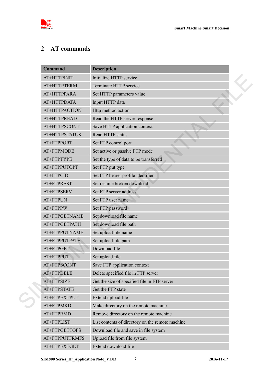



# <span id="page-5-0"></span>**2 AT commands**

| <b>Command</b> | <b>Description</b>                               |  |
|----------------|--------------------------------------------------|--|
| AT+HTTPINIT    | Initialize HTTP service                          |  |
| AT+HTTPTERM    | Terminate HTTP service                           |  |
| AT+HTTPPARA    | Set HTTP parameters value                        |  |
| AT+HTTPDATA    | Input HTTP data                                  |  |
| AT+HTTPACTION  | Http method action                               |  |
| AT+HTTPREAD    | Read the HTTP server response                    |  |
| AT+HTTPSCONT   | Save HTTP application context                    |  |
| AT+HTTPSTATUS  | Read HTTP status                                 |  |
| AT+FTPPORT     | Set FTP control port                             |  |
| AT+FTPMODE     | Set active or passive FTP mode                   |  |
| AT+FTPTYPE     | Set the type of data to be transferred           |  |
| AT+FTPPUTOPT   | Set FTP put type                                 |  |
| AT+FTPCID      | Set FTP bearer profile identifier                |  |
| AT+FTPREST     | Set resume broken download                       |  |
| AT+FTPSERV     | Set FTP server address                           |  |
| AT+FTPUN       | Set FTP user name                                |  |
| AT+FTPPW       | Set FTP password                                 |  |
| AT+FTPGETNAME  | Set download file name                           |  |
| AT+FTPGETPATH  | Set download file path                           |  |
| AT+FTPPUTNAME  | Set upload file name                             |  |
| AT+FTPPUTPATH  | Set upload file path                             |  |
| AT+FTPGET      | Download file                                    |  |
| AT+FTPPUT      | Set upload file                                  |  |
| AT+FTPSCONT    | Save FTP application context                     |  |
| AT+FTPDELE     | Delete specified file in FTP server              |  |
| AT+FTPSIZE     | Get the size of specified file in FTP server     |  |
| AT+FTPSTATE    | Get the FTP state                                |  |
| AT+FTPEXTPUT   | Extend upload file                               |  |
| AT+FTPMKD      | Make directory on the remote machine             |  |
| AT+FTPRMD      | Remove directory on the remote machine           |  |
| AT+FTPLIST     | List contents of directory on the remote machine |  |
| AT+FTPGETTOFS  | Download file and save in file system            |  |
| AT+FTPPUTFRMFS | Upload file from file system                     |  |
| AT+FTPEXTGET   | Extend download file                             |  |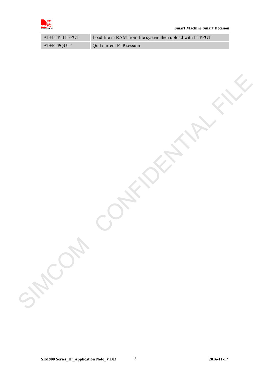

| $AT+FTPFILEPUT$ | Load file in RAM from file system then upload with FTPPUT |
|-----------------|-----------------------------------------------------------|
| AT+FTPQUIT      | Quit current FTP session                                  |

SIMCOM CONFIDENTIAL FILE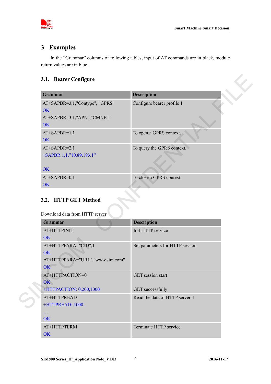

## <span id="page-7-0"></span>**3 Examples**

In the "Grammar" columns of following tables, input of AT commands are in black, module return values are in blue.

#### <span id="page-7-1"></span>**3.1. Bearer Configure**

| <b>Grammar</b>                                                                  | <b>Description</b>                      |
|---------------------------------------------------------------------------------|-----------------------------------------|
| AT+SAPBR=3,1,"Contype", "GPRS"<br>OK<br>AT+SAPBR=3,1,"APN","CMNET"<br>OK        | Configure bearer profile 1              |
| AT+SAPBR=1,1<br>OK                                                              | To open a GPRS context.                 |
| $AT+SAPBR=2,1$<br>+SAPBR:1,1,"10.89.193.1"<br>OK                                | To query the GPRS context.              |
|                                                                                 |                                         |
| AT+SAPBR=0,1<br>OK                                                              | To close a GPRS context.                |
| 3.2. HTTP GET Method<br>Download data from HTTP server.                         |                                         |
| Grammar<br>AT+HTTPINIT                                                          | <b>Description</b><br>Init HTTP service |
| <b>OK</b><br>AT+HTTPPARA="CID",1<br>OK<br>AT+HTTPPARA="URL","www.sim.com"<br>OK | Set parameters for HTTP session         |
| AT+HTTPACTION=0<br>OK                                                           | <b>GET</b> session start                |

# <span id="page-7-2"></span>**3.2. HTTP GET Method**

| <b>Grammar</b>                  | <b>Description</b>              |
|---------------------------------|---------------------------------|
| AT+HTTPINIT                     | Init HTTP service               |
| OK                              |                                 |
| AT+HTTPPARA="CID",1             | Set parameters for HTTP session |
| OK                              |                                 |
| AT+HTTPPARA="URL","www.sim.com" |                                 |
| OK                              |                                 |
| AT+HTTPACTION=0                 | <b>GET</b> session start        |
| OK                              |                                 |
| +HTTPACTION: 0,200,1000         | <b>GET</b> successfully         |
| AT+HTTPREAD                     | Read the data of HTTP server□   |
| +HTTPREAD: 1000                 |                                 |
|                                 |                                 |
| OK                              |                                 |
| AT+HTTPTERM                     | Terminate HTTP service          |
| OK.                             |                                 |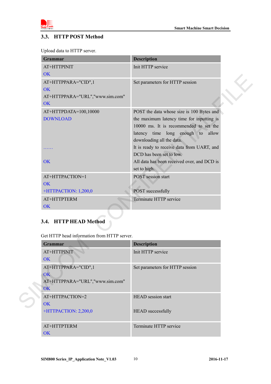

#### <span id="page-8-0"></span>**3.3. HTTP POST Method**

|  |  |  | Upload data to HTTP server. |  |
|--|--|--|-----------------------------|--|
|  |  |  |                             |  |

| <b>Grammar</b>                              | <b>Description</b>                          |
|---------------------------------------------|---------------------------------------------|
| AT+HTTPINIT                                 | Init HTTP service                           |
| <b>OK</b>                                   |                                             |
| AT+HTTPPARA="CID",1                         | Set parameters for HTTP session             |
| <b>OK</b>                                   |                                             |
| AT+HTTPPARA="URL","www.sim.com"             |                                             |
| OK                                          |                                             |
| AT+HTTPDATA=100,10000                       | POST the data whose size is 100 Bytes and   |
| <b>DOWNLOAD</b>                             | the maximum latency time for inputting is   |
|                                             | 10000 ms. It is recommended to set the      |
|                                             | latency time long enough to allow           |
|                                             | downloading all the data.                   |
|                                             | It is ready to receive data from UART, and  |
|                                             | DCD has been set to low.                    |
| <b>OK</b>                                   | All data has been received over, and DCD is |
|                                             | set to high.                                |
| AT+HTTPACTION=1                             | <b>POST</b> session start                   |
| <b>OK</b>                                   |                                             |
| +HTTPACTION: 1,200,0                        | POST successfully                           |
| AT+HTTPTERM                                 | Terminate HTTP service                      |
| <b>OK</b>                                   |                                             |
| 3.4. HTTP HEAD Method                       |                                             |
|                                             |                                             |
| Get HTTP head information from HTTP server. |                                             |
| Grammar                                     | <b>Description</b>                          |
| AT+HTTPINIT                                 | Init HTTP service                           |
| OK                                          |                                             |
| AT+HTTPPARA="CID",1                         | Set parameters for HTTP session             |
| OK                                          |                                             |
| AT+HTTPPARA="URL","www.sim.com"             |                                             |
| OK                                          |                                             |
| AT+HTTPACTION=2                             | HEAD session start                          |
| OK                                          |                                             |
|                                             |                                             |

## <span id="page-8-1"></span>**3.4. HTTP HEAD Method**

| Grammar                         | <b>Description</b>              |
|---------------------------------|---------------------------------|
| AT+HTTPINIT                     | Init HTTP service               |
| OK                              |                                 |
| AT+HTTPPARA="CID",1             | Set parameters for HTTP session |
| OK                              |                                 |
| AT+HTTPPARA="URL","www.sim.com" |                                 |
| OK                              |                                 |
| AT+HTTPACTION=2                 | <b>HEAD</b> session start       |
| OK                              |                                 |
| +HTTPACTION: 2,200,0            | <b>HEAD</b> successfully        |
|                                 |                                 |
| AT+HTTPTERM                     | Terminate HTTP service          |
| OK.                             |                                 |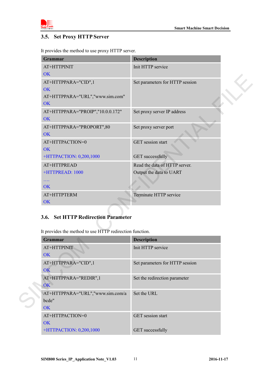

#### <span id="page-9-0"></span>**3.5. Set Proxy HTTP Server**

It provides the method to use proxy HTTP server.

| <b>Grammar</b>                                                                                  | <b>Description</b>              |
|-------------------------------------------------------------------------------------------------|---------------------------------|
| AT+HTTPINIT                                                                                     | Init HTTP service               |
| <b>OK</b>                                                                                       |                                 |
| AT+HTTPPARA="CID",1                                                                             | Set parameters for HTTP session |
| <b>OK</b>                                                                                       |                                 |
| AT+HTTPPARA="URL","www.sim.com"<br>OK                                                           |                                 |
| AT+HTTPPARA="PROIP","10.0.0.172"                                                                | Set proxy server IP address     |
| <b>OK</b>                                                                                       |                                 |
| AT+HTTPPARA="PROPORT",80                                                                        | Set proxy server port           |
| <b>OK</b>                                                                                       |                                 |
| AT+HTTPACTION=0                                                                                 | GET session start               |
| OK                                                                                              |                                 |
| +HTTPACTION: 0,200,1000                                                                         | <b>GET</b> successfully         |
| AT+HTTPREAD                                                                                     | Read the data of HTTP server.   |
| +HTTPREAD: 1000                                                                                 | Output the data to UART         |
| $\ldots$                                                                                        |                                 |
| <b>OK</b>                                                                                       |                                 |
| AT+HTTPTERM                                                                                     | Terminate HTTP service          |
| OK                                                                                              |                                 |
| 3.6. Set HTTP Redirection Parameter<br>It provides the method to use HTTP redirection function. |                                 |
| Grammar                                                                                         | <b>Description</b>              |
| AT+HTTPINIT                                                                                     | Init HTTP service               |
| <b>OK</b>                                                                                       |                                 |
| AT+HTTPPARA="CID",1                                                                             | Set parameters for HTTP session |
| OK                                                                                              |                                 |
| AT+HTTPPARA="REDIR",1                                                                           | Set the redirection parameter   |
| OK ·                                                                                            |                                 |
| AT+HTTPPARA="URL","www.sim.com/a                                                                | Set the URL                     |
| bcde"                                                                                           |                                 |
| OK                                                                                              |                                 |

#### <span id="page-9-1"></span>**3.6. Set HTTP Redirection Parameter**

| <b>Grammar</b>                   | <b>Description</b>              |
|----------------------------------|---------------------------------|
| AT+HTTPINIT                      | Init HTTP service               |
| OK.                              |                                 |
| AT+HTTPPARA="CID",1              | Set parameters for HTTP session |
| OK                               |                                 |
| AT+HTTPPARA="REDIR",1            | Set the redirection parameter   |
| OK                               |                                 |
| AT+HTTPPARA="URL","www.sim.com/a | Set the URL                     |
| bcde"                            |                                 |
| OK                               |                                 |
| AT+HTTPACTION=0                  | <b>GET</b> session start        |
| OK                               |                                 |
| +HTTPACTION: 0,200,1000          | <b>GET</b> successfully         |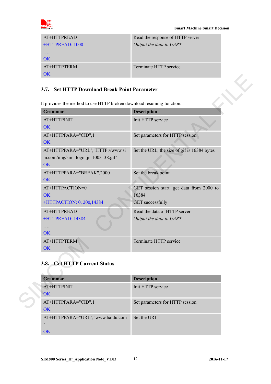

| AT+HTTPREAD            | Read the response of HTTP server |
|------------------------|----------------------------------|
| +HTTPREAD: 1000        | Output the data to UART          |
| .                      |                                  |
| $\overline{\text{OK}}$ |                                  |
| AT+HTTPTERM            | Terminate HTTP service           |
| ΩK                     |                                  |

#### <span id="page-10-0"></span>**3.7. Set HTTP Download Break Point Parameter**

| It provides the method to use HTTP broken download resuming function.        |                                                                              |
|------------------------------------------------------------------------------|------------------------------------------------------------------------------|
| Grammar                                                                      | <b>Description</b>                                                           |
| AT+HTTPINIT<br><b>OK</b>                                                     | Init HTTP service                                                            |
| AT+HTTPPARA="CID",1<br>OK                                                    | Set parameters for HTTP session                                              |
| AT+HTTPPARA="URL","HTTP://www.si<br>m.com/img/sim_logo_jr_1003_38.gif"<br>OK | Set the URL, the size of gif is 16384 bytes                                  |
| AT+HTTPPARA="BREAK",2000<br>OK                                               | Set the break point                                                          |
| AT+HTTPACTION=0<br>OK<br>+HTTPACTION: 0, 200, 14384                          | GET session start, get data from 2000 to<br>16384<br><b>GET</b> successfully |
| AT+HTTPREAD<br>+HTTPREAD: 14384<br>.<br><b>OK</b>                            | Read the data of HTTP server<br>Output the data to UART                      |
| AT+HTTPTERM<br>OK                                                            | Terminate HTTP service                                                       |
| 3.8. Get HTTP Current Status                                                 |                                                                              |
| Grammar                                                                      | <b>Description</b>                                                           |
| AT+HTTPINIT<br>OK                                                            | Init HTTP service                                                            |
| AT+HTTPPARA="CID",1<br>$\bigcap K$                                           | Set parameters for HTTP session                                              |

# <span id="page-10-1"></span>**3.8. Get HTTP Current Status**

| <b>Grammar</b>                   | <b>Description</b>              |
|----------------------------------|---------------------------------|
| AT+HTTPINIT                      | Init HTTP service               |
| <b>OK</b>                        |                                 |
| AT+HTTPPARA="CID",1              | Set parameters for HTTP session |
| OK                               |                                 |
| AT+HTTPPARA="URL","www.baidu.com | Set the URL                     |
| $^{\prime\prime}$                |                                 |
| OK                               |                                 |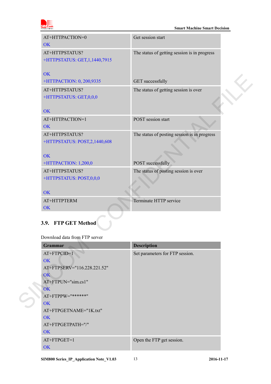

| AT+HTTPACTION=0                                                               | Get session start                            |  |
|-------------------------------------------------------------------------------|----------------------------------------------|--|
| OK                                                                            |                                              |  |
| AT+HTTPSTATUS?                                                                | The status of getting session is in progress |  |
| +HTTPSTATUS: GET, 1, 1440, 7915                                               |                                              |  |
| <b>OK</b>                                                                     |                                              |  |
| +HTTPACTION: 0, 200,9335                                                      | <b>GET</b> successfully                      |  |
| AT+HTTPSTATUS?                                                                | The status of getting session is over        |  |
| +HTTPSTATUS: GET,0,0,0                                                        |                                              |  |
|                                                                               |                                              |  |
| <b>OK</b>                                                                     |                                              |  |
| AT+HTTPACTION=1                                                               | POST session start                           |  |
| <b>OK</b>                                                                     |                                              |  |
| AT+HTTPSTATUS?                                                                | The status of posting session is in progress |  |
| +HTTPSTATUS: POST,2,1440,608                                                  |                                              |  |
| <b>OK</b>                                                                     |                                              |  |
| +HTTPACTION: 1,200,0                                                          | POST successfully                            |  |
| AT+HTTPSTATUS?                                                                | The status of posting session is over        |  |
| +HTTPSTATUS: POST,0,0,0                                                       |                                              |  |
|                                                                               |                                              |  |
| OK                                                                            |                                              |  |
| AT+HTTPTERM                                                                   | Terminate HTTP service                       |  |
| OK                                                                            |                                              |  |
|                                                                               |                                              |  |
| 3.9. FTP GET Method                                                           |                                              |  |
| Download data from FTP server                                                 |                                              |  |
| Grammar                                                                       | <b>Description</b>                           |  |
| AT+FTPCID=1                                                                   | Set parameters for FTP session.              |  |
| OK                                                                            |                                              |  |
| AT+FTPSERV="116.228.221.52"                                                   |                                              |  |
| OK                                                                            |                                              |  |
| AT+FTPUN="sim.cs1"<br>OK                                                      |                                              |  |
| AT+FTPPW="******"                                                             |                                              |  |
| <b>OK</b>                                                                     |                                              |  |
| $\Lambda$ T $\Gamma$ ETDCETMA $\Lambda$ $\Lambda$ E-11 IZ $+$ $+$ $+$ $+$ $+$ |                                              |  |

# <span id="page-11-0"></span>**3.9. FTP GET Method**

| <b>Grammar</b>              | <b>Description</b>              |
|-----------------------------|---------------------------------|
| $AT+FTPCID=1$               | Set parameters for FTP session. |
| OK                          |                                 |
| AT+FTPSERV="116.228.221.52" |                                 |
| OK.                         |                                 |
| $AT+FTPUN="sim.cs1"$        |                                 |
| $\overline{\text{OK}}$      |                                 |
| $AT+FTPPW="******"$         |                                 |
| OK                          |                                 |
| AT+FTPGETNAME="1K.txt"      |                                 |
| OK                          |                                 |
| AT+FTPGETPATH="/"           |                                 |
| OK                          |                                 |
| AT+FTPGET=1                 | Open the FTP get session.       |
| OK                          |                                 |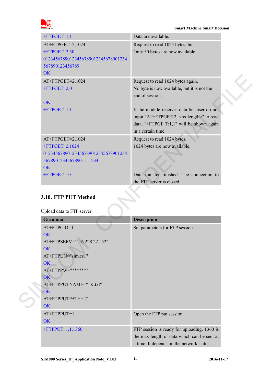| $+$ FTPGET: 1,1                                                             | Data are available.                                                 |  |
|-----------------------------------------------------------------------------|---------------------------------------------------------------------|--|
| AT+FTPGET=2,1024<br>$+$ FTPGET: 2,50<br>01234567890123456789012345678901234 | Request to read 1024 bytes, but<br>Only 50 bytes are now available. |  |
| 567890123456789<br>OK                                                       |                                                                     |  |
| AT+FTPGET=2,1024                                                            | Request to read 1024 bytes again.                                   |  |
| $+$ FTPGET: 2,0                                                             | No byte is now available, but it is not the                         |  |
| <b>OK</b>                                                                   | end of session.                                                     |  |
| $+$ FTPGET: 1,1                                                             | If the module receives data but user do not                         |  |
|                                                                             | input "AT+FTPGET:2, <reqlength>" to read</reqlength>                |  |
|                                                                             | data, "+FTPGE T:1,1" will be shown again                            |  |
|                                                                             | in a certain time.                                                  |  |
| AT+FTPGET=2,1024                                                            | Request to read 1024 bytes.                                         |  |
| +FTPGET: 2,1024                                                             | 1024 bytes are now available.                                       |  |
| 01234567890123456789012345678901234                                         |                                                                     |  |
| 56789012345678901234                                                        |                                                                     |  |
| <b>OK</b><br>$+$ FTPGET:1,0                                                 | Data transfer finished. The connection to                           |  |
|                                                                             | the FTP server is closed.                                           |  |
|                                                                             |                                                                     |  |
| 3.10. FTP PUT Method                                                        |                                                                     |  |
| Upload data to FTP server.                                                  |                                                                     |  |
| Grammar                                                                     | <b>Description</b>                                                  |  |
| AT+FTPCID=1                                                                 | Set parameters for FTP session.                                     |  |
| OK<br>AT+FTPSERV="116.228.221.52"                                           |                                                                     |  |
| OK                                                                          |                                                                     |  |
| AT+FTPUN="sim.cs1"                                                          |                                                                     |  |
| OK                                                                          |                                                                     |  |
| AT+FTPPW="******"                                                           |                                                                     |  |
| OK \                                                                        |                                                                     |  |
| AT+FTPPUTNAME="1K.txt"                                                      |                                                                     |  |
| <b>OK</b><br>AT+FTPPUTPATH="/"                                              |                                                                     |  |
| <b>OK</b>                                                                   |                                                                     |  |
|                                                                             |                                                                     |  |

#### <span id="page-12-0"></span>**3.10. FTP PUT Method**

| <b>Grammar</b>              | <b>Description</b>                          |
|-----------------------------|---------------------------------------------|
| $AT+FTPCID=1$               | Set parameters for FTP session.             |
| OK                          |                                             |
| AT+FTPSERV="116.228.221.52" |                                             |
| <b>OK</b>                   |                                             |
| AT+FTPUN="sim.cs1"          |                                             |
| OK                          |                                             |
| $AT+FTPPW="******"$         |                                             |
| OK                          |                                             |
| AT+FTPPUTNAME="1K.txt"      |                                             |
| <b>OK</b>                   |                                             |
| AT+FTPPUTPATH="/"           |                                             |
| <b>OK</b>                   |                                             |
| $AT+FTPPUT=1$               | Open the FTP put session.                   |
| <b>OK</b>                   |                                             |
| +FTPPUT: 1,1,1360           | FTP session is ready for uploading. 1360 is |
|                             | the max length of data which can be sent at |
|                             | a time. It depends on the network status.   |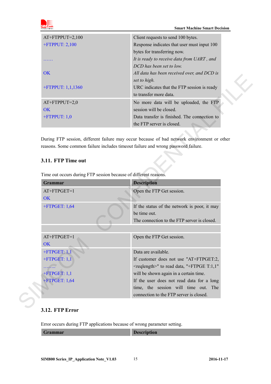

| $AT+FTPPUT=2,100$    | Client requests to send 100 bytes.           |  |
|----------------------|----------------------------------------------|--|
| $+$ FTPPUT: 2,100    | Response indicates that user must input 100  |  |
|                      | bytes for transferring now.                  |  |
|                      | It is ready to receive data from UART, and   |  |
|                      | DCD has been set to low.                     |  |
| OK.                  | All data has been received over, and DCD is  |  |
|                      | set to high.                                 |  |
| $+$ FTPPUT: 1,1,1360 | URC indicates that the FTP session is ready  |  |
|                      | to transfer more data.                       |  |
| $AT+FTPPUT=2,0$      | No more data will be uploaded, the FTP       |  |
| OK                   | session will be closed.                      |  |
| $+$ FTPPUT: 1,0      | Data transfer is finished. The connection to |  |
|                      | the FTP server is closed.                    |  |

#### <span id="page-13-0"></span>**3.11. FTP Time out**

|                                                                                    | set to high.                                                                      |
|------------------------------------------------------------------------------------|-----------------------------------------------------------------------------------|
| +FTPPUT: 1,1,1360                                                                  | URC indicates that the FTP session is ready                                       |
|                                                                                    | to transfer more data.                                                            |
| $AT+FTPPUT=2,0$                                                                    | No more data will be uploaded, the FTP                                            |
| <b>OK</b>                                                                          | session will be closed.                                                           |
| $+$ FTPPUT: 1,0                                                                    | Data transfer is finished. The connection to                                      |
|                                                                                    | the FTP server is closed.                                                         |
| 3.11. FTP Time out                                                                 | reasons. Some common failure includes timeout failure and wrong password failure. |
| Time out occurs during FTP session because of different reasons.<br><b>Grammar</b> |                                                                                   |
|                                                                                    | <b>Description</b>                                                                |
| AT+FTPGET=1                                                                        | Open the FTP Get session.                                                         |
| <b>OK</b>                                                                          |                                                                                   |
| $+$ FTPGET: 1,64                                                                   | If the status of the network is poor, it may                                      |
|                                                                                    | be time out.                                                                      |
|                                                                                    | The connection to the FTP server is closed.                                       |
|                                                                                    |                                                                                   |
| AT+FTPGET=1                                                                        | Open the FTP Get session.                                                         |
| OK                                                                                 |                                                                                   |
| $+$ FTPGET: 1,1                                                                    | Data are available.                                                               |
| $+$ FTPGET: 1,1                                                                    | If customer does not use "AT+FTPGET:2,                                            |
|                                                                                    | <reqlength>" to read data, "+FTPGE T:1,1"</reqlength>                             |
| $+$ FTPGET: 1,1                                                                    | will be shown again in a certain time.                                            |
| +FTPGET: 1,64                                                                      | If the user does not read data for a long                                         |
|                                                                                    | time, the session will time out. The<br>connection to the FTP server is closed.   |

#### <span id="page-13-1"></span>**3.12. FTP Error**

Error occurs during FTP applications because of wrong parameter setting.

| Grammar | R<br><b>Description</b> |
|---------|-------------------------|
|         |                         |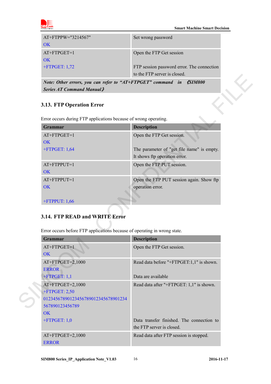

| AT+FTPPW="3214567"<br>OK. | Set wrong password                                                         |
|---------------------------|----------------------------------------------------------------------------|
| $AT+FTPGET=1$<br>OK.      | Open the FTP Get session                                                   |
| $+$ FTPGET: 1,72          | FTP session password error. The connection<br>to the FTP server is closed. |

#### <span id="page-14-0"></span>**3.13. FTP Operation Error**

|                                                                           | to the FIP server is closed.               |
|---------------------------------------------------------------------------|--------------------------------------------|
| Note: Other errors, you can refer to "AT+FTPGET" command in               | <b><i><u>KSIM800</u></i></b>               |
| <b>Series AT Command Manual</b>                                           |                                            |
|                                                                           |                                            |
| 3.13. FTP Operation Error                                                 |                                            |
| Error occurs during FTP applications because of wrong operating.          |                                            |
| Grammar                                                                   | <b>Description</b>                         |
| AT+FTPGET=1                                                               |                                            |
| OK                                                                        | Open the FTP Get session.                  |
| $+$ FTPGET: 1,64                                                          | The parameter of "get file name" is empty. |
|                                                                           | It shows ftp operation error.              |
| AT+FTPPUT=1                                                               | Open the FTP PUT session.                  |
| <b>OK</b>                                                                 |                                            |
| AT+FTPPUT=1                                                               | Open the FTP PUT session again. Show ftp   |
| <b>OK</b>                                                                 | operation error.                           |
|                                                                           |                                            |
| $+$ FTPPUT: 1,66                                                          |                                            |
| 3.14. FTP READ and WRITE Error                                            |                                            |
|                                                                           |                                            |
| Error occurs before FTP applications because of operating in wrong state. |                                            |
| <b>Grammar</b>                                                            | <b>Description</b>                         |
| $AT+FTPGET=1$                                                             | Open the FTP Get session.                  |
| OK                                                                        |                                            |
| AT+FTPGET=2,1000                                                          | Read data before "+FTPGET:1,1" is shown.   |
| <b>ERROR</b>                                                              |                                            |
|                                                                           |                                            |
| $+$ FTPGET: 1,1                                                           | Data are available                         |
| AT+FTPGET=2,1000                                                          | Read data after "+FTPGET: 1,1" is shown.   |
| +FTPGET: 2,50                                                             |                                            |
| 01234567890123456789012345678901234<br>567890123456789                    |                                            |

#### <span id="page-14-1"></span>**3.14. FTP READ and WRITE Error**

| Grammar                             | <b>Description</b>                        |
|-------------------------------------|-------------------------------------------|
| $AT+FTPGET=1$                       | Open the FTP Get session.                 |
| OK                                  |                                           |
| AT+FTPGET=2,1000                    | Read data before "+FTPGET:1,1" is shown.  |
| <b>ERROR</b>                        |                                           |
| $+$ FTPGET: 1,1                     | Data are available                        |
| AT+FTPGET=2,1000                    | Read data after "+FTPGET: 1,1" is shown.  |
| $+$ FTPGET: 2,50                    |                                           |
| 01234567890123456789012345678901234 |                                           |
| 567890123456789                     |                                           |
| $\overline{\text{OK}}$              |                                           |
| $+$ FTPGET: 1,0                     | Data transfer finished. The connection to |
|                                     | the FTP server is closed.                 |
| $AT+FTPGET=2,1000$                  | Read data after FTP session is stopped.   |
| <b>ERROR</b>                        |                                           |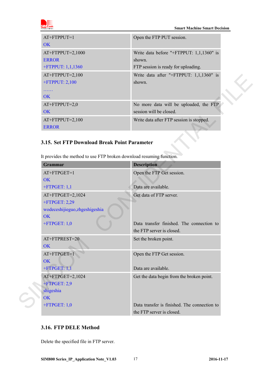

**Smart Machine Smart Decision** 

| $AT+FTPPUT=1$       | Open the FTP PUT session.                |
|---------------------|------------------------------------------|
| OK                  |                                          |
| $AT+FTPPUT=2,1000$  | Write data before "+FTPPUT: 1,1,1360" is |
| <b>ERROR</b>        | shown.                                   |
| +FTPPUT: $1,1,1360$ | FTP session is ready for uploading.      |
| $AT+FTPPUT=2,100$   | Write data after "+FTPPUT: 1,1,1360" is  |
| $+$ FTPPUT: 2,100   | shown.                                   |
|                     |                                          |
| OK                  |                                          |
| $AT+FTPPUT=2,0$     | No more data will be uploaded, the FTP   |
| OK                  | session will be closed.                  |
| $AT+FTPPUT=2,100$   | Write data after FTP session is stopped. |
| <b>ERROR</b>        |                                          |

#### <span id="page-15-0"></span>**3.15. Set FTP Download Break Point Parameter**

| $AT+FTPUT=2,100$<br>+FTPPUT: 2,100                                   | Write data after "+FTPPUT: $1,1,1360$ " is<br>shown.              |
|----------------------------------------------------------------------|-------------------------------------------------------------------|
| .<br><b>OK</b>                                                       |                                                                   |
| AT+FTPPUT=2,0<br>OK                                                  | No more data will be uploaded, the FTP<br>session will be closed. |
| AT+FTPPUT=2,100<br><b>ERROR</b>                                      | Write data after FTP session is stopped.                          |
|                                                                      |                                                                   |
| 3.15. Set FTP Download Break Point Parameter                         |                                                                   |
| It provides the method to use FTP broken download resuming function. |                                                                   |
| Grammar                                                              | <b>Description</b>                                                |
| AT+FTPGET=1                                                          | Open the FTP Get session.                                         |
| OK                                                                   |                                                                   |
| $+$ FTPGET: 1,1                                                      | Data are available.                                               |
| AT+FTPGET=2,1024                                                     | Get data of FTP server.                                           |
| +FTPGET: 2,29                                                        |                                                                   |
| wodeceshijieguo, zhgeshigeshia                                       |                                                                   |
| OK                                                                   |                                                                   |
| $+$ FTPGET: 1,0                                                      | Data transfer finished. The connection to                         |
|                                                                      | the FTP server is closed.                                         |
| AT+FTPREST=20                                                        | Set the broken point.                                             |
| <b>OK</b>                                                            |                                                                   |
| AT+FTPGET=1                                                          | Open the FTP Get session.                                         |
| <b>OK</b>                                                            |                                                                   |
| $+$ FTPGET: 1,1                                                      | Data are available.                                               |
| AT+FTPGET=2,1024                                                     | Get the data begin from the broken point.                         |
| +FTPGET: 2,9                                                         |                                                                   |
| shigeshia                                                            |                                                                   |
| OK                                                                   |                                                                   |
| $+$ FTPGET: $1,0$                                                    | Data transfer is finished. The connection to                      |

#### <span id="page-15-1"></span>**3.16. FTP DELE Method**

Delete the specified file in FTP server.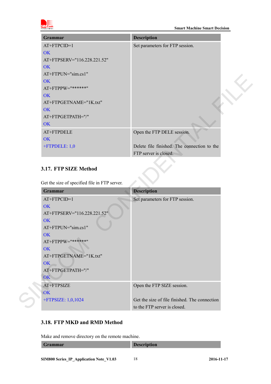

| <b>Grammar</b>              | <b>Description</b>                          |
|-----------------------------|---------------------------------------------|
| $AT+FTPCID=1$               | Set parameters for FTP session.             |
| OK                          |                                             |
| AT+FTPSERV="116.228.221.52" |                                             |
| OK                          |                                             |
| $AT+FTPUN="sim.cs1"$        |                                             |
| OK                          |                                             |
| AT+FTPPW="******"           |                                             |
| OK                          |                                             |
| AT+FTPGETNAME="1K.txt"      |                                             |
| OK                          |                                             |
| AT+FTPGETPATH="/"           |                                             |
| OK                          |                                             |
| AT+FTPDELE                  | Open the FTP DELE session.                  |
| OK                          |                                             |
| +FTPDELE: 1,0               | Delete file finished. The connection to the |
|                             | FTP server is closed.                       |

#### <span id="page-16-0"></span>**3.17. FTP SIZE Method**

| $AI + FI IP UN = "SIM.CSI"$ |                                               |                                               |
|-----------------------------|-----------------------------------------------|-----------------------------------------------|
| <b>OK</b>                   |                                               |                                               |
| AT+FTPPW="******"           |                                               |                                               |
| OK                          |                                               |                                               |
| AT+FTPGETNAME="1K.txt"      |                                               |                                               |
| <b>OK</b>                   |                                               |                                               |
| AT+FTPGETPATH="/"           |                                               |                                               |
| OK                          |                                               |                                               |
| AT+FTPDELE                  |                                               | Open the FTP DELE session.                    |
| OK                          |                                               |                                               |
| +FTPDELE: 1,0               |                                               | Delete file finished. The connection to the   |
|                             |                                               | FTP server is closed.                         |
|                             |                                               |                                               |
| 3.17. FTP SIZE Method       |                                               |                                               |
|                             |                                               |                                               |
|                             | Get the size of specified file in FTP server. |                                               |
| Grammar                     |                                               | <b>Description</b>                            |
| AT+FTPCID=1                 |                                               | Set parameters for FTP session.               |
| OK                          |                                               |                                               |
| AT+FTPSERV="116.228.221.52" |                                               |                                               |
| OK                          |                                               |                                               |
| AT+FTPUN="sim.cs1"          |                                               |                                               |
| <b>OK</b>                   |                                               |                                               |
| AT+FTPPW="******"           |                                               |                                               |
| <b>OK</b>                   |                                               |                                               |
| AT+FTPGETNAME="1K.txt"      |                                               |                                               |
| OK                          |                                               |                                               |
| AT+FTPGETPATH="/"           |                                               |                                               |
| OK                          |                                               |                                               |
|                             |                                               |                                               |
| AT+FTPSIZE                  |                                               | Open the FTP SIZE session.                    |
| OK                          |                                               |                                               |
| +FTPSIZE: 1,0,1024          |                                               | Get the size of file finished. The connection |
|                             |                                               | to the FTP server is closed.                  |

#### <span id="page-16-1"></span>**3.18. FTP MKD and RMD Method**

Make and remove directory on the remote machine.

| Grammar | <b>Description</b> |
|---------|--------------------|
|         |                    |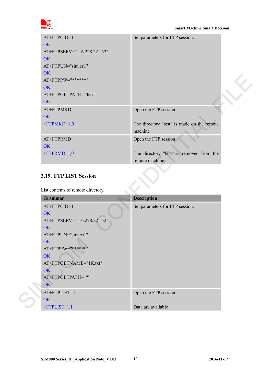

| AT+FTPCID=1<br><b>OK</b><br>AT+FTPSERV="116.228.221.52"<br><b>OK</b><br>AT+FTPUN="sim.cs1"<br><b>OK</b><br>AT+FTPPW="******" | Set parameters for FTP session.                            |  |
|------------------------------------------------------------------------------------------------------------------------------|------------------------------------------------------------|--|
| <b>OK</b><br>AT+FTPGETPATH="/test"<br><b>OK</b>                                                                              |                                                            |  |
| AT+FTPMKD<br><b>OK</b>                                                                                                       | Open the FTP session.                                      |  |
| +FTPMKD: 1,0                                                                                                                 | The directory "test" is made on the remote<br>machine      |  |
| AT+FTPRMD                                                                                                                    | Open the FTP session                                       |  |
| <b>OK</b>                                                                                                                    |                                                            |  |
| +FTPRMD: 1,0                                                                                                                 | The directory "test" is removed from the<br>remote machine |  |
| 3.19. FTP LIST Session                                                                                                       |                                                            |  |
| List contents of remote directory.                                                                                           |                                                            |  |
| Grammar                                                                                                                      | <b>Description</b>                                         |  |
| AT+FTPCID=1                                                                                                                  | Set parameters for FTP session.                            |  |
| <b>OK</b>                                                                                                                    |                                                            |  |
| AT+FTPSERV="116.228.221.52"                                                                                                  |                                                            |  |
| OK                                                                                                                           |                                                            |  |

#### <span id="page-17-0"></span>**3.19. FTP LIST Session**

| <b>Grammar</b>              | <b>Description</b>              |
|-----------------------------|---------------------------------|
| AT+FTPCID=1                 | Set parameters for FTP session. |
| <b>OK</b>                   |                                 |
| AT+FTPSERV="116.228.221.52" |                                 |
| <b>OK</b>                   |                                 |
| AT+FTPUN="sim.cs1"          |                                 |
| <b>OK</b>                   |                                 |
| AT+FTPPW="******"           |                                 |
| <b>OK</b>                   |                                 |
| AT+FTPGETNAME="1K.txt"      |                                 |
| $\overline{\text{OK}}$      |                                 |
| AT+FTPGETPATH="/"           |                                 |
| OK \                        |                                 |
| AT+FTPLIST=1                | Open the FTP session.           |
| <b>OK</b>                   |                                 |
| $+$ FTPLIST: 1,1            | Data are available              |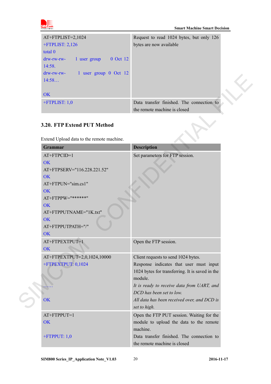

| $AT+FTPLIST=2,1024$                                | Request to read 1024 bytes, but only 126  |
|----------------------------------------------------|-------------------------------------------|
| $+$ FTPLIST: 2,126                                 | bytes are now available                   |
| total 0                                            |                                           |
| 0 Oct 12<br>$drw$ - $rw$ - $rw$ -<br>1 user group  |                                           |
| 14:58.                                             |                                           |
| 1 user group 0 Oct 12<br>$drw$ - $rw$ - $rw$ - $-$ |                                           |
| 14:58                                              |                                           |
|                                                    |                                           |
| OK                                                 |                                           |
| $+$ FTPLIST: 1,0                                   | Data transfer finished. The connection to |
|                                                    | the remote machine is closed              |

## <span id="page-18-0"></span>**3.20. FTP Extend PUT Method**

| $\frac{d}{dx}$ and $\frac{d}{dx}$ i user group $\sigma$ oct iz<br>14:58                                                                                                                 |                                                                                                                                              |
|-----------------------------------------------------------------------------------------------------------------------------------------------------------------------------------------|----------------------------------------------------------------------------------------------------------------------------------------------|
| OK                                                                                                                                                                                      |                                                                                                                                              |
| $+$ FTPLIST: 1,0                                                                                                                                                                        | Data transfer finished. The connection to<br>the remote machine is closed                                                                    |
| 3.20. FTP Extend PUT Method<br>Extend Upload data to the remote machine.                                                                                                                |                                                                                                                                              |
| <b>Grammar</b>                                                                                                                                                                          | <b>Description</b>                                                                                                                           |
| AT+FTPCID=1<br><b>OK</b><br>AT+FTPSERV="116.228.221.52"<br>OK<br>AT+FTPUN="sim.cs1"<br><b>OK</b><br>AT+FTPPW="******"<br><b>OK</b><br>AT+FTPPUTNAME="1K.txt"<br>OK<br>AT+FTPPUTPATH="/" | Set parameters for FTP session.                                                                                                              |
| OK<br>AT+FTPEXTPUT=1                                                                                                                                                                    | Open the FTP session.                                                                                                                        |
| OK<br>AT+FTPEXTPUT=2,0,1024,10000<br>+FTPEXTPUT: 0,1024                                                                                                                                 | Client requests to send 1024 bytes.<br>Response indicates that user must input<br>1024 bytes for transferring. It is saved in the<br>module. |
| OK                                                                                                                                                                                      | It is ready to receive data from UART, and<br>DCD has been set to low.<br>All data has been received over, and DCD is<br>set to high.        |
| AT+FTPPUT=1<br><b>OK</b>                                                                                                                                                                | Open the FTP PUT session. Waiting for the<br>module to upload the data to the remote<br>machine.                                             |
| $+$ FTPPUT: 1,0                                                                                                                                                                         | Data transfer finished. The connection to<br>the remote machine is closed                                                                    |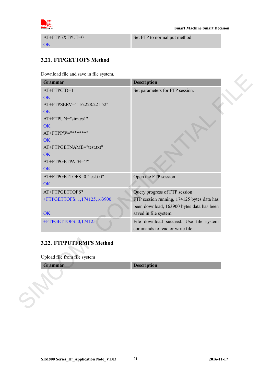

AT+FTPEXTPUT=0 **OK** 

Set FTP to normal put method

#### <span id="page-19-0"></span>**3.21. FTPGETTOFS Method**

Download file and save in file system.

| Set parameters for FTP session.<br>AT+FTPCID=1<br>OK<br>AT+FTPSERV="116.228.221.52"<br>OK<br>AT+FTPUN="sim.cs1"<br>OK<br>AT+FTPPW="******"<br>OK<br>OK<br>Open the FTP session.<br>OK<br>AT+FTPGETTOFS?<br>Query progress of FTP session<br>FTP session running, 174125 bytes data has<br>been download, 163900 bytes data has been<br>OK<br>saved in file system.<br>File download succeed. Use file system<br>commands to read or write file.<br>Upload file from file system<br><b>Description</b> | Grammar                      | <b>Description</b> |
|-------------------------------------------------------------------------------------------------------------------------------------------------------------------------------------------------------------------------------------------------------------------------------------------------------------------------------------------------------------------------------------------------------------------------------------------------------------------------------------------------------|------------------------------|--------------------|
|                                                                                                                                                                                                                                                                                                                                                                                                                                                                                                       |                              |                    |
|                                                                                                                                                                                                                                                                                                                                                                                                                                                                                                       |                              |                    |
|                                                                                                                                                                                                                                                                                                                                                                                                                                                                                                       |                              |                    |
|                                                                                                                                                                                                                                                                                                                                                                                                                                                                                                       |                              |                    |
|                                                                                                                                                                                                                                                                                                                                                                                                                                                                                                       |                              |                    |
|                                                                                                                                                                                                                                                                                                                                                                                                                                                                                                       |                              |                    |
|                                                                                                                                                                                                                                                                                                                                                                                                                                                                                                       |                              |                    |
|                                                                                                                                                                                                                                                                                                                                                                                                                                                                                                       |                              |                    |
|                                                                                                                                                                                                                                                                                                                                                                                                                                                                                                       | AT+FTPGETNAME="test.txt"     |                    |
|                                                                                                                                                                                                                                                                                                                                                                                                                                                                                                       |                              |                    |
|                                                                                                                                                                                                                                                                                                                                                                                                                                                                                                       | AT+FTPGETPATH="/"            |                    |
|                                                                                                                                                                                                                                                                                                                                                                                                                                                                                                       | OK                           |                    |
|                                                                                                                                                                                                                                                                                                                                                                                                                                                                                                       | AT+FTPGETTOFS=0,"test.txt"   |                    |
|                                                                                                                                                                                                                                                                                                                                                                                                                                                                                                       |                              |                    |
|                                                                                                                                                                                                                                                                                                                                                                                                                                                                                                       |                              |                    |
|                                                                                                                                                                                                                                                                                                                                                                                                                                                                                                       | +FTPGETTOFS: 1,174125,163900 |                    |
|                                                                                                                                                                                                                                                                                                                                                                                                                                                                                                       |                              |                    |
|                                                                                                                                                                                                                                                                                                                                                                                                                                                                                                       |                              |                    |
|                                                                                                                                                                                                                                                                                                                                                                                                                                                                                                       | +FTPGETTOFS: 0,174125        |                    |
|                                                                                                                                                                                                                                                                                                                                                                                                                                                                                                       |                              |                    |
|                                                                                                                                                                                                                                                                                                                                                                                                                                                                                                       | 3.22. FTPPUTFRMFS Method     |                    |
|                                                                                                                                                                                                                                                                                                                                                                                                                                                                                                       | Grammar                      |                    |
|                                                                                                                                                                                                                                                                                                                                                                                                                                                                                                       |                              |                    |
|                                                                                                                                                                                                                                                                                                                                                                                                                                                                                                       |                              |                    |
|                                                                                                                                                                                                                                                                                                                                                                                                                                                                                                       |                              |                    |
|                                                                                                                                                                                                                                                                                                                                                                                                                                                                                                       |                              |                    |

# <span id="page-19-1"></span>**3.22. FTPPUTFRMFS Method**

#### Upload file from file system

| Grammar |                    |
|---------|--------------------|
|         | <b>Description</b> |
|         |                    |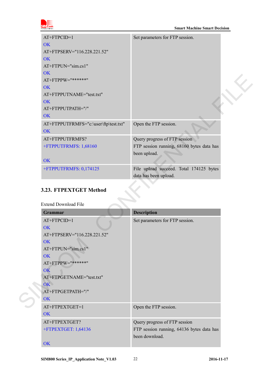

| AT+FTPCID=1                                           | Set parameters for FTP session.           |  |
|-------------------------------------------------------|-------------------------------------------|--|
| <b>OK</b>                                             |                                           |  |
| AT+FTPSERV="116.228.221.52"                           |                                           |  |
| OK                                                    |                                           |  |
| AT+FTPUN="sim.cs1"                                    |                                           |  |
| <b>OK</b>                                             |                                           |  |
| AT+FTPPW="******"                                     |                                           |  |
| OK                                                    |                                           |  |
| AT+FTPPUTNAME="test.txt"                              |                                           |  |
| <b>OK</b>                                             |                                           |  |
| AT+FTPPUTPATH="/"                                     |                                           |  |
| <b>OK</b>                                             |                                           |  |
| AT+FTPPUTFRMFS="c:\user\ftp\test.txt"<br>OK           | Open the FTP session.                     |  |
| AT+FTPPUTFRMFS?                                       | Query progress of FTP session             |  |
| +FTPPUTFRMFS: 1,68160                                 | FTP session running, 68160 bytes data has |  |
|                                                       | been upload.                              |  |
| OK                                                    |                                           |  |
| +FTPPUTFRMFS: 0,174125                                | File upload succeed. Total 174125 bytes   |  |
|                                                       |                                           |  |
|                                                       | data has been upload.                     |  |
| 3.23. FTPEXTGET Method<br><b>Extend Download File</b> |                                           |  |
| Grammar                                               |                                           |  |
|                                                       | <b>Description</b>                        |  |
| AT+FTPCID=1<br>OK                                     | Set parameters for FTP session.           |  |
|                                                       |                                           |  |
| AT+FTPSERV="116.228.221.52"<br><b>OK</b>              |                                           |  |
| AT+FTPUN="sim.cs1"                                    |                                           |  |
| <b>OK</b>                                             |                                           |  |
| AT+FTPPW="******"                                     |                                           |  |
| $\overline{\text{OK}}$                                |                                           |  |
| AT+FTPGETNAME="test.txt"                              |                                           |  |
| OK                                                    |                                           |  |
| AT+FTPGETPATH="/"                                     |                                           |  |
| <b>OK</b>                                             |                                           |  |

## <span id="page-20-0"></span>**3.23. FTPEXTGET Method**

| <b>Grammar</b>                                                                                                                                                                        | <b>Description</b>                                                                           |
|---------------------------------------------------------------------------------------------------------------------------------------------------------------------------------------|----------------------------------------------------------------------------------------------|
| $AT+FTPCID=1$<br>OK<br>AT+FTPSERV="116.228.221.52"<br>OK<br>AT+FTPUN="sim.cs1"<br>OK<br>$AT+FTPPW="******"$<br>OK<br>AT+FTPGETNAME="test.txt"<br>OK<br>AT+FTPGETPATH="/"<br><b>OK</b> | Set parameters for FTP session.                                                              |
| AT+FTPEXTGET=1<br><b>OK</b>                                                                                                                                                           | Open the FTP session.                                                                        |
| AT+FTPEXTGET?<br>+FTPEXTGET: 1,64136<br><b>OK</b>                                                                                                                                     | Query progress of FTP session<br>FTP session running, 64136 bytes data has<br>been download. |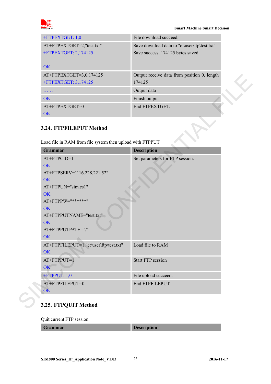

#### **Smart Machine Smart Decision**

| +FTPEXTGET: 1,0           | File download succeed.                       |  |
|---------------------------|----------------------------------------------|--|
| AT+FTPEXTGET=2,"test.txt" | Save download data to "c:\user\ftp\test.txt" |  |
| +FTPEXTGET: 2,174125      | Save success, 174125 bytes saved             |  |
|                           |                                              |  |
| OK                        |                                              |  |
| AT+FTPEXTGET=3,0,174125   | Output receive data from position 0, length  |  |
| +FTPEXTGET: 3,174125      | 174125                                       |  |
|                           | Output data                                  |  |
| OK                        | Finish output                                |  |
| AT+FTPEXTGET=0            | End FTPEXTGET.                               |  |
| OK                        |                                              |  |

#### <span id="page-21-0"></span>**3.24. FTPFILEPUT Method**

| AT+FTPEXTGET=3,0,174125<br>+FTPEXTGET: 3,174125                                                                                                                                          | Output receive data from position 0, length<br>174125 |
|------------------------------------------------------------------------------------------------------------------------------------------------------------------------------------------|-------------------------------------------------------|
| .                                                                                                                                                                                        | Output data                                           |
| OK                                                                                                                                                                                       | Finish output                                         |
| AT+FTPEXTGET=0<br><b>OK</b>                                                                                                                                                              | End FTPEXTGET.                                        |
| 3.24. FTPFILEPUT Method<br>Load file in RAM from file system then upload with FTPPUT                                                                                                     |                                                       |
| Grammar                                                                                                                                                                                  | <b>Description</b>                                    |
| AT+FTPCID=1<br>OK<br>AT+FTPSERV="116.228.221.52"<br><b>OK</b><br>AT+FTPUN="sim.cs1"<br>OK<br>AT+FTPPW="******"<br>OK<br>AT+FTPPUTNAME="test.txt"<br><b>OK</b><br>AT+FTPPUTPATH="/"<br>OK | Set parameters for FTP session.                       |
| AT+FTPFILEPUT=1,"c:\user\ftp\test.txt"<br>OK                                                                                                                                             | Load file to RAM                                      |
| AT+FTPPUT=1<br>OK                                                                                                                                                                        | <b>Start FTP session</b>                              |
| $+$ FTPPUT: 1,0                                                                                                                                                                          | File upload succeed.                                  |
|                                                                                                                                                                                          |                                                       |

### <span id="page-21-1"></span>**3.25. FTPQUIT Method**

Quit current FTP session

**Description**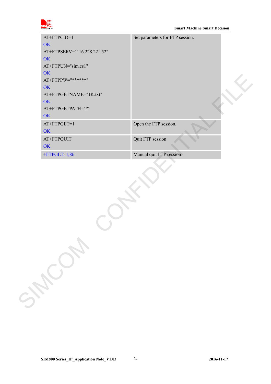

| AT+FTPCID=1                 | Set parameters for FTP session. |
|-----------------------------|---------------------------------|
| OK                          |                                 |
| AT+FTPSERV="116.228.221.52" |                                 |
| OK                          |                                 |
| AT+FTPUN="sim.cs1"          |                                 |
| OK                          |                                 |
| AT+FTPPW="******"           |                                 |
| OK                          |                                 |
| AT+FTPGETNAME="1K.txt"      |                                 |
| OK                          |                                 |
| AT+FTPGETPATH="/"           |                                 |
| OK                          |                                 |
| AT+FTPGET=1                 | Open the FTP session.           |
| OK                          |                                 |
| AT+FTPQUIT                  | Quit FTP session                |
| OK                          |                                 |
| $+$ FTPGET: 1,86            | Manual quit FTP session         |
| Sycanon                     |                                 |
|                             |                                 |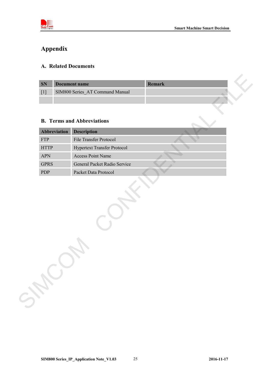

# <span id="page-23-0"></span>**Appendix**

#### <span id="page-23-1"></span>**A. Related Documents**

| <b>SN</b> | Document name                   | Remark |  |  |
|-----------|---------------------------------|--------|--|--|
|           | SIM800 Series AT Command Manual |        |  |  |
|           |                                 |        |  |  |

#### <span id="page-23-2"></span>**B. Terms and Abbreviations**

| <b>SN</b>                 |              | <b>Document name</b>                                 | Remark |
|---------------------------|--------------|------------------------------------------------------|--------|
| $[1]$                     |              | SIM800 Series AT Command Manual                      |        |
|                           |              |                                                      |        |
|                           |              |                                                      |        |
|                           |              | <b>B.</b> Terms and Abbreviations                    |        |
|                           |              |                                                      |        |
|                           | Abbreviation | <b>Description</b>                                   |        |
| <b>FTP</b>                |              | File Transfer Protocol                               |        |
| $\operatorname{HTTP}$     |              | <b>Hypertext Transfer Protocol</b>                   |        |
| <b>APN</b>                |              | <b>Access Point Name</b>                             |        |
| <b>GPRS</b><br><b>PDP</b> |              | General Packet Radio Service<br>Packet Data Protocol |        |
|                           |              |                                                      |        |
|                           |              |                                                      |        |
|                           |              |                                                      |        |
|                           |              |                                                      |        |
|                           |              |                                                      |        |
|                           |              |                                                      |        |
|                           |              |                                                      |        |
|                           |              |                                                      |        |